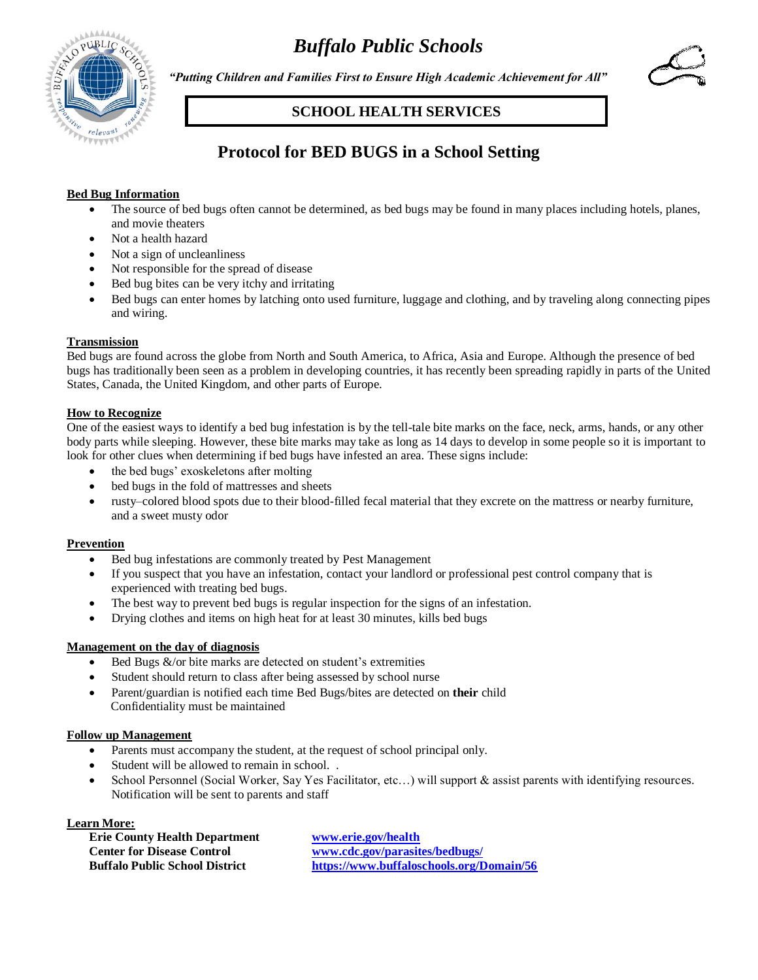*Buffalo Public Schools*



*"Putting Children and Families First to Ensure High Academic Achievement for All"*

# **SCHOOL HEALTH SERVICES**



# **Protocol for BED BUGS in a School Setting**

### **Bed Bug Information**

- The source of bed bugs often cannot be determined, as bed bugs may be found in many places including hotels, planes, and movie theaters
- Not a health hazard
- Not a sign of uncleanliness
- Not responsible for the spread of disease
- Bed bug bites can be very itchy and irritating
- Bed bugs can enter homes by latching onto used furniture, luggage and clothing, and by traveling along connecting pipes and wiring.

#### **Transmission**

Bed bugs are found across the globe from North and South America, to Africa, Asia and Europe. Although the presence of bed bugs has traditionally been seen as a problem in developing countries, it has recently been spreading rapidly in parts of the United States, Canada, the United Kingdom, and other parts of Europe.

### **How to Recognize**

One of the easiest ways to identify a bed bug infestation is by the tell-tale bite marks on the face, neck, arms, hands, or any other body parts while sleeping. However, these bite marks may take as long as 14 days to develop in some people so it is important to look for other clues when determining if bed bugs have infested an area. These signs include:

- the bed bugs' exoskeletons after molting
- bed bugs in the fold of mattresses and sheets
- rusty–colored blood spots due to their blood-filled fecal material that they excrete on the mattress or nearby furniture, and a sweet musty odor

### **Prevention**

- Bed bug infestations are commonly treated by Pest Management
- If you suspect that you have an infestation, contact your landlord or professional pest control company that is experienced with treating bed bugs.
- The best way to prevent bed bugs is regular inspection for the signs of an infestation.
- Drying clothes and items on high heat for at least 30 minutes, kills bed bugs

### **Management on the day of diagnosis**

- Bed Bugs  $\&$ /or bite marks are detected on student's extremities
- Student should return to class after being assessed by school nurse
- Parent/guardian is notified each time Bed Bugs/bites are detected on **their** child Confidentiality must be maintained

### **Follow up Management**

- Parents must accompany the student, at the request of school principal only.
- Student will be allowed to remain in school. .
- School Personnel (Social Worker, Say Yes Facilitator, etc…) will support & assist parents with identifying resources. Notification will be sent to parents and staff

### **Learn More:**

| <b>Erie County Health Department</b>  |
|---------------------------------------|
| <b>Center for Disease Control</b>     |
| <b>Buffalo Public School District</b> |

**Erie County Health Department [www.erie.gov/health](http://www.erie.gov/health) Center for Disease Control [www.cdc.gov/parasites/bedbugs/](http://www.cdc.gov/parasites/bedbugs/)** <https://www.buffaloschools.org/Domain/56>